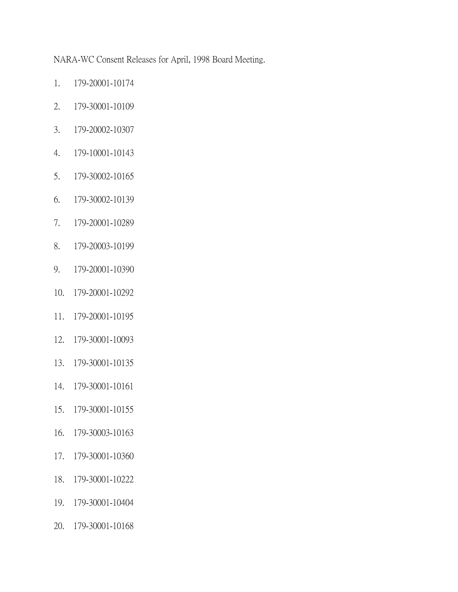NARA-WC Consent Releases for April, 1998 Board Meeting.

- 1. 179-20001-10174
- 2. 179-30001-10109
- 3. 179-20002-10307
- 4. 179-10001-10143
- 5. 179-30002-10165
- 6. 179-30002-10139
- 7. 179-20001-10289
- 8. 179-20003-10199
- 9. 179-20001-10390
- 10. 179-20001-10292
- 11. 179-20001-10195
- 12. 179-30001-10093
- 13. 179-30001-10135
- 14. 179-30001-10161
- 15. 179-30001-10155
- 16. 179-30003-10163
- 17. 179-30001-10360
- 18. 179-30001-10222
- 19. 179-30001-10404
- 20. 179-30001-10168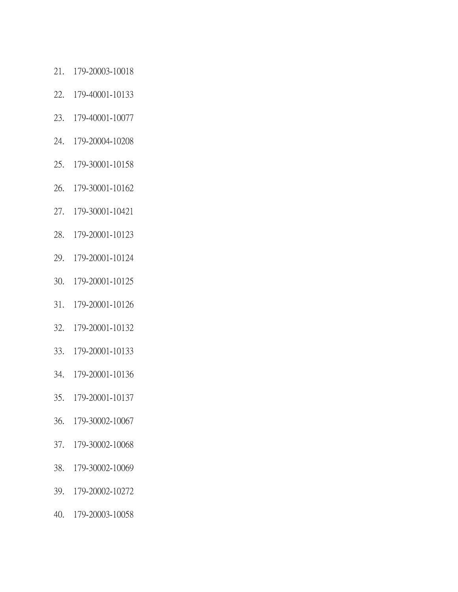- 21. 179-20003-10018
- 22. 179-40001-10133
- 23. 179-40001-10077
- 24. 179-20004-10208
- 25. 179-30001-10158
- 26. 179-30001-10162
- 27. 179-30001-10421
- 28. 179-20001-10123
- 29. 179-20001-10124
- 30. 179-20001-10125
- 31. 179-20001-10126
- 32. 179-20001-10132
- 33. 179-20001-10133
- 34. 179-20001-10136
- 35. 179-20001-10137
- 36. 179-30002-10067
- 37. 179-30002-10068
- 38. 179-30002-10069
- 39. 179-20002-10272
- 40. 179-20003-10058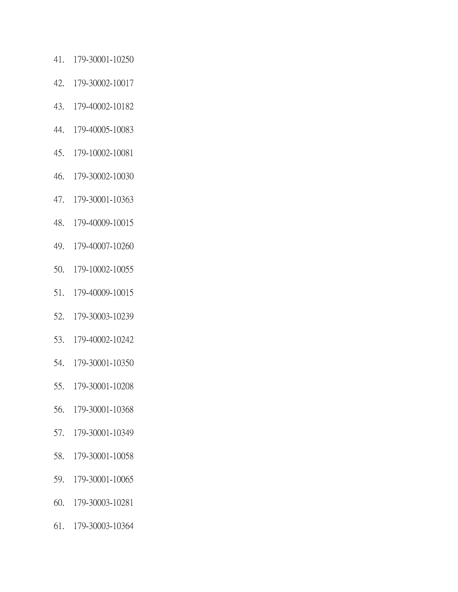- 41. 179-30001-10250
- 42. 179-30002-10017
- 43. 179-40002-10182
- 44. 179-40005-10083
- 45. 179-10002-10081
- 46. 179-30002-10030
- 47. 179-30001-10363
- 48. 179-40009-10015
- 49. 179-40007-10260
- 50. 179-10002-10055
- 51. 179-40009-10015
- 52. 179-30003-10239
- 53. 179-40002-10242
- 54. 179-30001-10350
- 55. 179-30001-10208
- 56. 179-30001-10368
- 57. 179-30001-10349
- 58. 179-30001-10058
- 59. 179-30001-10065
- 60. 179-30003-10281
- 61. 179-30003-10364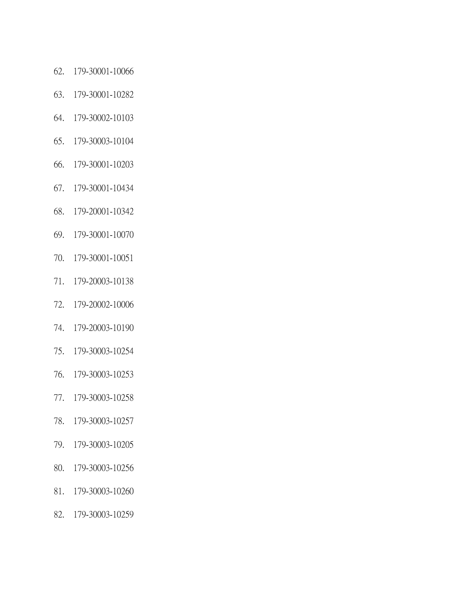- 62. 179-30001-10066
- 63. 179-30001-10282
- 64. 179-30002-10103
- 65. 179-30003-10104
- 66. 179-30001-10203
- 67. 179-30001-10434
- 68. 179-20001-10342
- 69. 179-30001-10070
- 70. 179-30001-10051
- 71. 179-20003-10138
- 72. 179-20002-10006
- 74. 179-20003-10190
- 75. 179-30003-10254
- 76. 179-30003-10253
- 77. 179-30003-10258
- 78. 179-30003-10257
- 79. 179-30003-10205
- 80. 179-30003-10256
- 81. 179-30003-10260
- 82. 179-30003-10259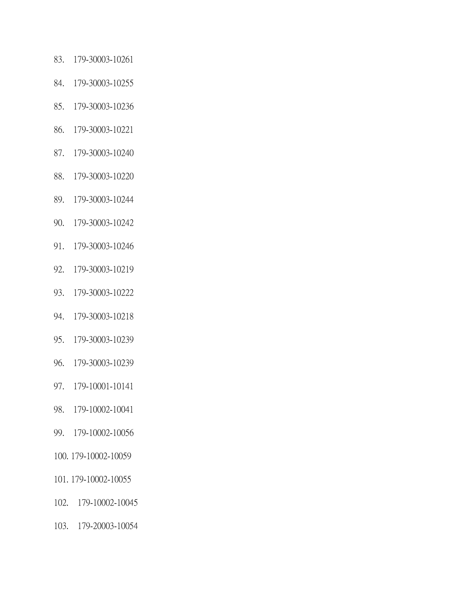- 83. 179-30003-10261
- 84. 179-30003-10255
- 85. 179-30003-10236
- 86. 179-30003-10221
- 87. 179-30003-10240
- 88. 179-30003-10220
- 89. 179-30003-10244
- 90. 179-30003-10242
- 91. 179-30003-10246
- 92. 179-30003-10219
- 93. 179-30003-10222
- 94. 179-30003-10218
- 95. 179-30003-10239
- 96. 179-30003-10239
- 97. 179-10001-10141
- 98. 179-10002-10041
- 99. 179-10002-10056
- 100. 179-10002-10059
- 101. 179-10002-10055
- 102. 179-10002-10045
- 103. 179-20003-10054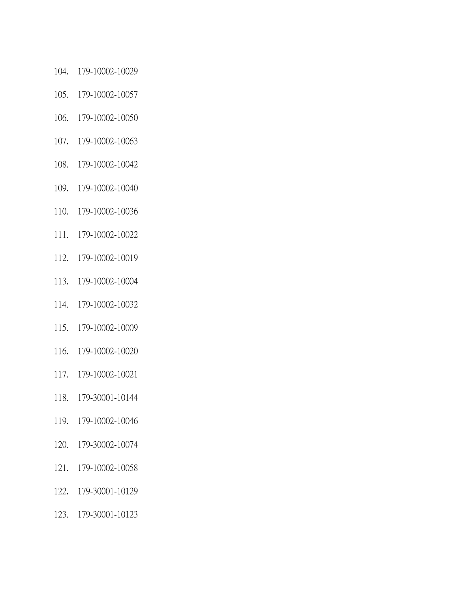- 104. 179-10002-10029
- 105. 179-10002-10057
- 106. 179-10002-10050
- 107. 179-10002-10063
- 108. 179-10002-10042
- 109. 179-10002-10040
- 110. 179-10002-10036
- 111. 179-10002-10022
- 112. 179-10002-10019
- 113. 179-10002-10004
- 114. 179-10002-10032
- 115. 179-10002-10009
- 116. 179-10002-10020
- 117. 179-10002-10021
- 118. 179-30001-10144
- 119. 179-10002-10046
- 120. 179-30002-10074
- 121. 179-10002-10058
- 122. 179-30001-10129
- 123. 179-30001-10123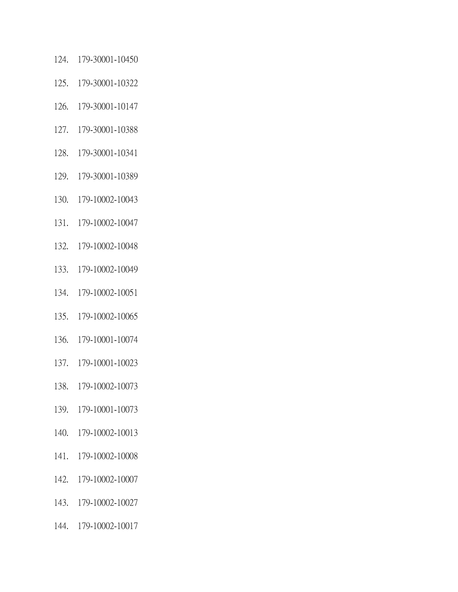- 124. 179-30001-10450
- 125. 179-30001-10322
- 126. 179-30001-10147
- 127. 179-30001-10388
- 128. 179-30001-10341
- 129. 179-30001-10389
- 130. 179-10002-10043
- 131. 179-10002-10047
- 132. 179-10002-10048
- 133. 179-10002-10049
- 134. 179-10002-10051
- 135. 179-10002-10065
- 136. 179-10001-10074
- 137. 179-10001-10023
- 138. 179-10002-10073
- 139. 179-10001-10073
- 140. 179-10002-10013
- 141. 179-10002-10008
- 142. 179-10002-10007
- 143. 179-10002-10027
- 144. 179-10002-10017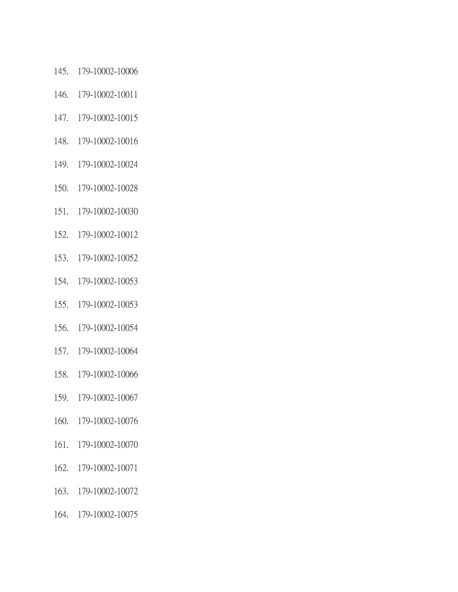- 145. 179-10002-10006
- 146. 179-10002-10011
- 147. 179-10002-10015
- 148. 179-10002-10016
- 149. 179-10002-10024
- 150. 179-10002-10028
- 151. 179-10002-10030
- 152. 179-10002-10012
- 153. 179-10002-10052
- 154. 179-10002-10053
- 155. 179-10002-10053
- 156. 179-10002-10054
- 157. 179-10002-10064
- 158. 179-10002-10066
- 159. 179-10002-10067
- 160. 179-10002-10076
- 161. 179-10002-10070
- 162. 179-10002-10071
- 163. 179-10002-10072
- 164. 179-10002-10075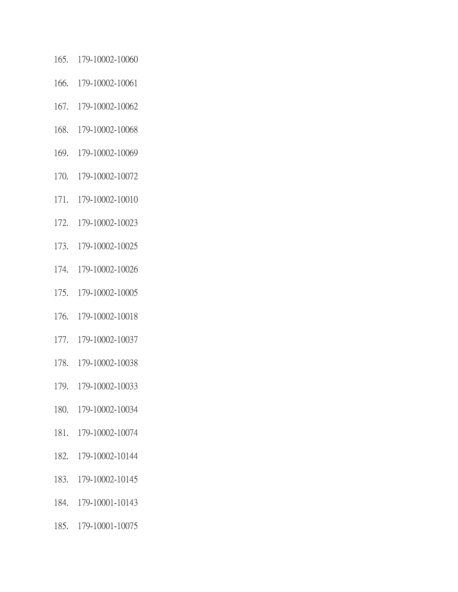- 165. 179-10002-10060
- 166. 179-10002-10061
- 167. 179-10002-10062
- 168. 179-10002-10068
- 169. 179-10002-10069
- 170. 179-10002-10072
- 171. 179-10002-10010
- 172. 179-10002-10023
- 173. 179-10002-10025
- 174. 179-10002-10026
- 175. 179-10002-10005
- 176. 179-10002-10018
- 177. 179-10002-10037
- 178. 179-10002-10038
- 179. 179-10002-10033
- 180. 179-10002-10034
- 181. 179-10002-10074
- 182. 179-10002-10144
- 183. 179-10002-10145
- 184. 179-10001-10143
- 185. 179-10001-10075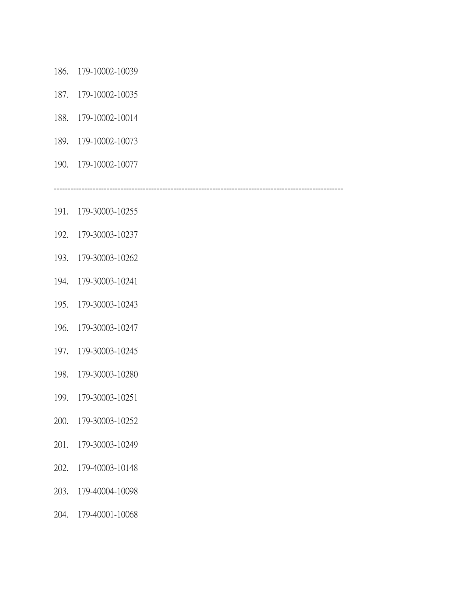- 186. 179-10002-10039
- 187. 179-10002-10035
- 188. 179-10002-10014
- 189. 179-10002-10073
- 190. 179-10002-10077

--------------------------------------------------------------------------------------------------------

- 191. 179-30003-10255
- 192. 179-30003-10237
- 193. 179-30003-10262
- 194. 179-30003-10241
- 195. 179-30003-10243
- 196. 179-30003-10247
- 197. 179-30003-10245
- 198. 179-30003-10280
- 199. 179-30003-10251
- 200. 179-30003-10252
- 201. 179-30003-10249
- 202. 179-40003-10148
- 203. 179-40004-10098
- 204. 179-40001-10068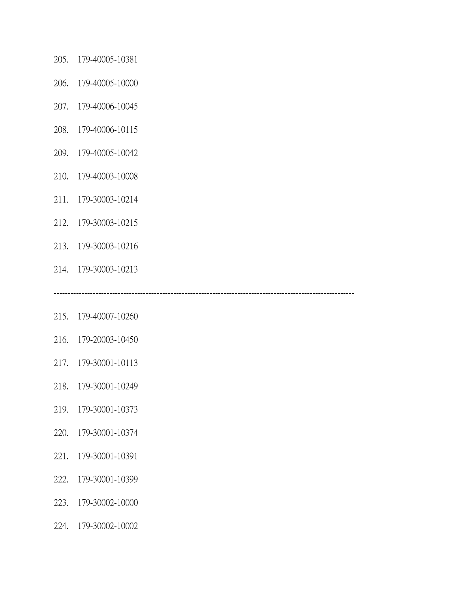- 205. 179-40005-10381
- 206. 179-40005-10000
- 207. 179-40006-10045
- 208. 179-40006-10115
- 209. 179-40005-10042
- 210. 179-40003-10008
- 211. 179-30003-10214
- 212. 179-30003-10215
- 213. 179-30003-10216
- 214. 179-30003-10213

------------------------------------------------------------------------------------------------------------

- 215. 179-40007-10260
- 216. 179-20003-10450
- 217. 179-30001-10113
- 218. 179-30001-10249
- 219. 179-30001-10373
- 220. 179-30001-10374
- 221. 179-30001-10391
- 222. 179-30001-10399
- 223. 179-30002-10000
- 224. 179-30002-10002